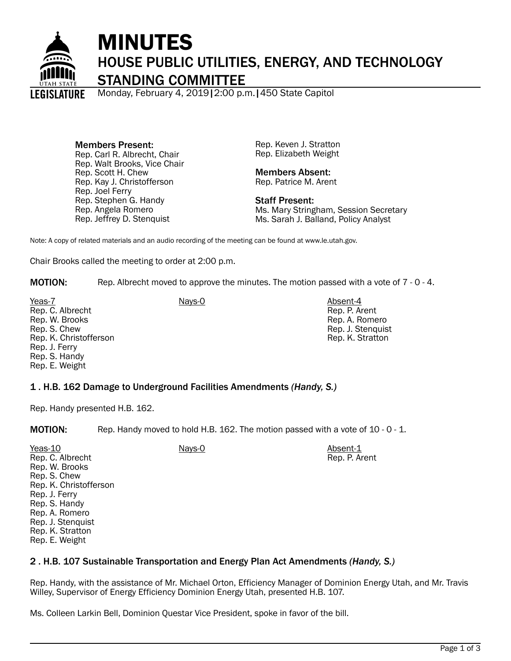

# MINUTES HOUSE PUBLIC UTILITIES, ENERGY, AND TECHNOLOGY STANDING COMMITTEE

Monday, February 4, 2019|2:00 p.m.|450 State Capitol

Members Present: Rep. Carl R. Albrecht, Chair Rep. Walt Brooks, Vice Chair Rep. Scott H. Chew Rep. Kay J. Christofferson Rep. Joel Ferry Rep. Stephen G. Handy Rep. Angela Romero Rep. Jeffrey D. Stenquist

Rep. Keven J. Stratton Rep. Elizabeth Weight

Members Absent: Rep. Patrice M. Arent

Staff Present: Ms. Mary Stringham, Session Secretary Ms. Sarah J. Balland, Policy Analyst

Note: A copy of related materials and an audio recording of the meeting can be found at www.le.utah.gov.

Chair Brooks called the meeting to order at 2:00 p.m.

**MOTION:** Rep. Albrecht moved to approve the minutes. The motion passed with a vote of 7 - 0 - 4.

Yeas-7 Absent-4 **Nays-0** Absent-4 Rep. C. Albrecht Rep. W. Brooks Rep. S. Chew Rep. K. Christofferson Rep. J. Ferry Rep. S. Handy Rep. E. Weight

Rep. P. Arent Rep. A. Romero Rep. J. Stenquist Rep. K. Stratton

# 1 . H.B. 162 Damage to Underground Facilities Amendments *(Handy, S.)*

Rep. Handy presented H.B. 162.

**MOTION:** Rep. Handy moved to hold H.B. 162. The motion passed with a vote of 10 - 0 - 1.

| Yeas-10                | Nays-0 | Absent-1      |
|------------------------|--------|---------------|
| Rep. C. Albrecht       |        | Rep. P. Arent |
| Rep. W. Brooks         |        |               |
| Rep. S. Chew           |        |               |
| Rep. K. Christofferson |        |               |
| Rep. J. Ferry          |        |               |
| Rep. S. Handy          |        |               |
| Rep. A. Romero         |        |               |
| Rep. J. Stenguist      |        |               |
| Rep. K. Stratton       |        |               |

### Rep. E. Weight

# 2 . H.B. 107 Sustainable Transportation and Energy Plan Act Amendments *(Handy, S.)*

Rep. Handy, with the assistance of Mr. Michael Orton, Efficiency Manager of Dominion Energy Utah, and Mr. Travis Willey, Supervisor of Energy Efficiency Dominion Energy Utah, presented H.B. 107.

Ms. Colleen Larkin Bell, Dominion Questar Vice President, spoke in favor of the bill.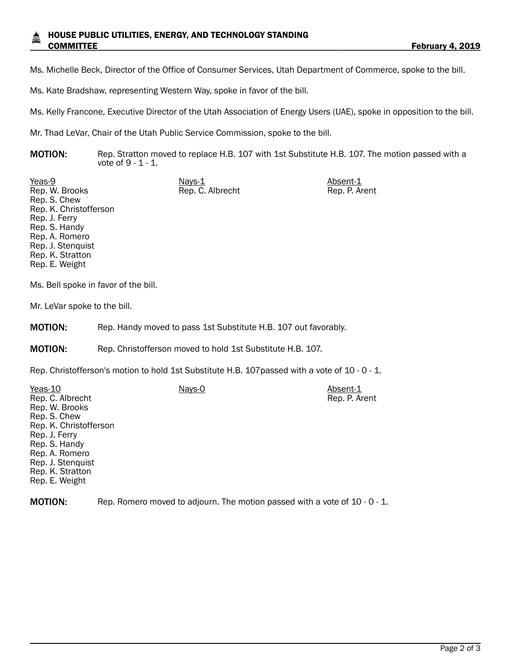Ms. Michelle Beck, Director of the Office of Consumer Services, Utah Department of Commerce, spoke to the bill.

Ms. Kate Bradshaw, representing Western Way, spoke in favor of the bill.

Ms. Kelly Francone, Executive Director of the Utah Association of Energy Users (UAE), spoke in opposition to the bill.

Mr. Thad LeVar, Chair of the Utah Public Service Commission, spoke to the bill.

**MOTION:** Rep. Stratton moved to replace H.B. 107 with 1st Substitute H.B. 107. The motion passed with a vote of 9 - 1 - 1.

Rep. C. Albrecht Rep. P. Arent

Yeas-9 Nays-1 Nays-1 Absent-1 Rep. W. Brooks Rep. S. Chew Rep. K. Christofferson Rep. J. Ferry Rep. S. Handy Rep. A. Romero Rep. J. Stenquist Rep. K. Stratton Rep. E. Weight

Ms. Bell spoke in favor of the bill.

Mr. LeVar spoke to the bill.

MOTION: Rep. Handy moved to pass 1st Substitute H.B. 107 out favorably.

MOTION: Rep. Christofferson moved to hold 1st Substitute H.B. 107.

Rep. Christofferson's motion to hold 1st Substitute H.B. 107passed with a vote of 10 - 0 - 1.

| Yeas-10                | Nays-0 | Absent-1      |
|------------------------|--------|---------------|
| Rep. C. Albrecht       |        | Rep. P. Arent |
| Rep. W. Brooks         |        |               |
| Rep. S. Chew           |        |               |
| Rep. K. Christofferson |        |               |
| Rep. J. Ferry          |        |               |
| Rep. S. Handy          |        |               |
| Rep. A. Romero         |        |               |
| Rep. J. Stenguist      |        |               |
| Rep. K. Stratton       |        |               |
| Rep. E. Weight         |        |               |
|                        |        |               |

MOTION: Rep. Romero moved to adjourn. The motion passed with a vote of 10 - 0 - 1.